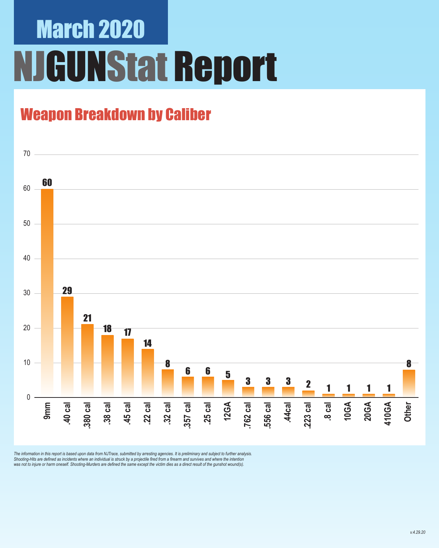# March 2020 NJGUNStat Report

### Weapon Breakdown by Caliber



The information in this report is based upon data from NJTrace, submitted by arresting agencies. It is preliminary and subject to further analysis.<br>Shooting-Hits are defined as incidents where an individual is struck by a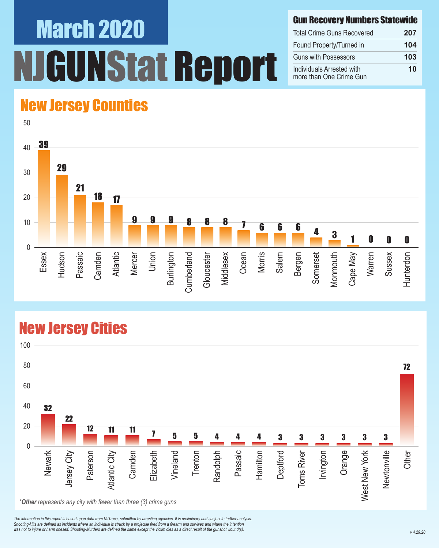# March 2020 UNStat Report

#### Gun Recovery Numbers Statewide

| <b>Total Crime Guns Recovered</b>                    | 207 |
|------------------------------------------------------|-----|
| Found Property/Turned in                             | 104 |
| <b>Guns with Possessors</b>                          | 103 |
| Individuals Arrested with<br>more than One Crime Gun | 10  |

### New Jersey Counties



#### New Jersey Cities



*\*Other represents any city with fewer than three (3) crime guns*

*The information in this report is based upon data from NJTrace, submitted by arresting agencies. It is preliminary and subject to further analysis. Shooting-Hits are defined as incidents where an individual is struck by a projectile fired from a firearm and survives and where the intention*  was not to injure or harm oneself. Shooting-Murders are defined the same except the victim dies as a direct result of the gunshot wound(s).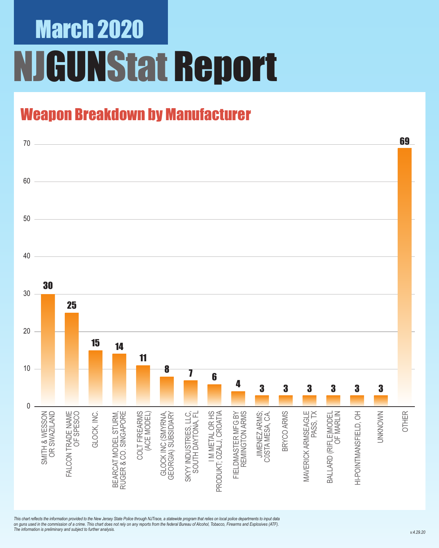# March 2020 NJGUNStat Report

### Weapon Breakdown by Manufacturer



*This chart reflects the information provided to the New Jersey State Police through NJTrace, a statewide program that relies on local police departments to input data on guns used in the commission of a crime. This chart does not rely on any reports from the federal Bureau of Alcohol, Tobacco, Firearms and Explosives (ATF). The information is preliminary and subject to further analysis.*